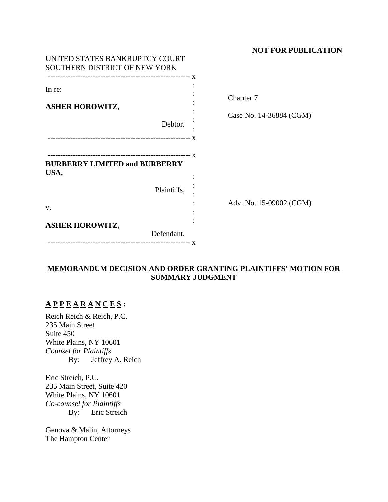#### **NOT FOR PUBLICATION**

| UNITED STATES BANKRUPTCY COURT<br>SOUTHERN DISTRICT OF NEW YORK |                                      |
|-----------------------------------------------------------------|--------------------------------------|
| In re:<br><b>ASHER HOROWITZ,</b><br>Debtor.                     | Chapter 7<br>Case No. 14-36884 (CGM) |
| <b>BURBERRY LIMITED and BURBERRY</b><br>USA,<br>Plaintiffs,     |                                      |
| V.<br><b>ASHER HOROWITZ,</b><br>Defendant.                      | Adv. No. 15-09002 (CGM)              |

### **MEMORANDUM DECISION AND ORDER GRANTING PLAINTIFFS' MOTION FOR SUMMARY JUDGMENT**

# **A P P E A R A N C E S :**

Reich Reich & Reich, P.C. 235 Main Street Suite 450 White Plains, NY 10601 *Counsel for Plaintiffs* By: Jeffrey A. Reich

Eric Streich, P.C. 235 Main Street, Suite 420 White Plains, NY 10601 *Co-counsel for Plaintiffs* By: Eric Streich

Genova & Malin, Attorneys The Hampton Center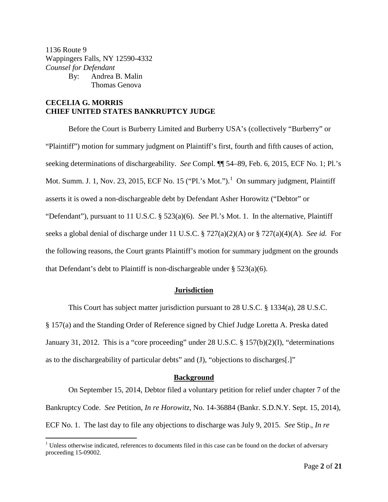1136 Route 9 Wappingers Falls, NY 12590-4332 *Counsel for Defendant* By: Andrea B. Malin Thomas Genova

#### **CECELIA G. MORRIS CHIEF UNITED STATES BANKRUPTCY JUDGE**

Before the Court is Burberry Limited and Burberry USA's (collectively "Burberry" or "Plaintiff") motion for summary judgment on Plaintiff's first, fourth and fifth causes of action, seeking determinations of dischargeability. *See* Compl. ¶¶ 54–89, Feb. 6, 2015, ECF No. 1; Pl.'s Mot. Summ. J. [1](#page-1-0), Nov. 23, 2015, ECF No. 15 ("Pl.'s Mot."). $^1$  On summary judgment, Plaintiff asserts it is owed a non-dischargeable debt by Defendant Asher Horowitz ("Debtor" or "Defendant"), pursuant to 11 U.S.C. § 523(a)(6). *See* Pl.'s Mot. 1. In the alternative, Plaintiff seeks a global denial of discharge under 11 U.S.C. § 727(a)(2)(A) or § 727(a)(4)(A). *See id.* For the following reasons, the Court grants Plaintiff's motion for summary judgment on the grounds that Defendant's debt to Plaintiff is non-dischargeable under  $\S 523(a)(6)$ .

#### **Jurisdiction**

This Court has subject matter jurisdiction pursuant to 28 U.S.C. § 1334(a), 28 U.S.C. § 157(a) and the Standing Order of Reference signed by Chief Judge Loretta A. Preska dated January 31, 2012. This is a "core proceeding" under 28 U.S.C. § 157(b)(2)(I), "determinations as to the dischargeability of particular debts" and (J), "objections to discharges[.]"

#### **Background**

On September 15, 2014, Debtor filed a voluntary petition for relief under chapter 7 of the Bankruptcy Code. *See* Petition, *In re Horowitz*, No. 14-36884 (Bankr. S.D.N.Y. Sept. 15, 2014), ECF No. 1. The last day to file any objections to discharge was July 9, 2015. *See* Stip., *In re* 

<span id="page-1-0"></span> $<sup>1</sup>$  Unless otherwise indicated, references to documents filed in this case can be found on the docket of adversary</sup> proceeding 15-09002.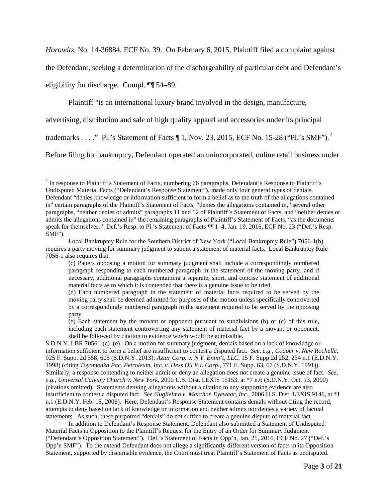*Horowitz*, No. 14-36884, ECF No. 39. On February 6, 2015, Plaintiff filed a complaint against

the Defendant, seeking a determination of the dischargeability of particular debt and Defendant's

eligibility for discharge. Compl. ¶¶ 54–89.

Plaintiff "is an international luxury brand involved in the design, manufacture,

advertising, distribution and sale of high quality apparel and accessories under its principal

trademarks . . . ." Pl.'s Statement of Facts  $\P$  1, Nov. [2](#page-2-0)3, 2015, ECF No. 15-28 ("Pl.'s SMF").<sup>2</sup>

Before filing for bankruptcy, Defendant operated an unincorporated, online retail business under

<span id="page-2-0"></span><sup>&</sup>lt;sup>2</sup> In response to Plaintiff's Statement of Facts, numbering 76 paragraphs, Defendant's Response to Plaintiff's Undisputed Material Facts ("Defendant's Response Statement"), made only four general types of denials. Defendant "denies knowledge or information sufficient to form a belief as to the truth of the allegations contained in" certain paragraphs of the Plaintiff's Statement of Facts, "denies the allegations contained in," several other paragraphs, "neither denies or admits" paragraphs 11 and 12 of Plaintiff's Statement of Facts, and "neither denies or admits the allegations contained in" the remaining paragraphs of Plaintiff's Statement of Facts, "as the documents speak for themselves." Def.'s Resp. to Pl.'s Statement of Facts  $\P\P$  1–4, Jan. 19, 2016, ECF No. 23 ("Def.'s Resp. SMF").

Local Bankruptcy Rule for the Southern District of New York ("Local Bankruptcy Rule") 7056-1(b) requires a party moving for summary judgment to submit a statement of material facts. Local Bankruptcy Rule 7056-1 also requires that

<sup>(</sup>c) Papers opposing a motion for summary judgment shall include a correspondingly numbered paragraph responding to each numbered paragraph in the statement of the moving party, and if necessary, additional paragraphs containing a separate, short, and concise statement of additional material facts as to which it is contended that there is a genuine issue to be tried.

<sup>(</sup>d) Each numbered paragraph in the statement of material facts required to be served by the moving party shall be deemed admitted for purposes of the motion unless specifically controverted by a correspondingly numbered paragraph in the statement required to be served by the opposing party.

<sup>(</sup>e) Each statement by the movant or opponent pursuant to subdivisions (b) or (c) of this rule, including each statement controverting any statement of material fact by a movant or opponent, shall be followed by citation to evidence which would be admissible.

S.D.N.Y. LBR 7056-1(c)–(e). On a motion for summary judgment, denials based on a lack of knowledge or information sufficient to form a belief are insufficient to contest a disputed fact. *See, e.g.*, *Cooper v. New Rochelle*, 925 F. Supp. 2d 588, 605 (S.D.N.Y. 2013); *Aztar Corp. v. N.Y. Entm't, LLC*, 15 F. Supp.2d 252, 254 n.1 (E.D.N.Y. 1998) (citing *Toyomenka Pac. Petroleum, Inc. v. Hess Oil V.I. Corp.*, 771 F. Supp. 63, 67 (S.D.N.Y. 1991)). Similarly, a response contending to neither admit or deny an allegation does not create a genuine issue of fact. *See, e.g.*, *Universal Calvary Church v. New York*, 2000 U.S. Dist. LEXIS 15153, at \*7 n.6 (S.D.N.Y. Oct. 13, 2000) (citations omitted). Statements denying allegations without a citation to any supporting evidence are also insufficient to contest a disputed fact. *See Guglielmo v. Marchon Eyewear, Inc.*, 2006 U.S. Dist. LEXIS 9146, at \*1 n.1 (E.D.N.Y. Feb. 15, 2006). Here, Defendant's Response Statement contains denials without citing the record, attempts to deny based on lack of knowledge or information and neither admits nor denies a variety of factual statements. As such, these purported "denials" do not suffice to create a genuine dispute of material fact.

In addition to Defendant's Response Statement, Defendant also submitted a Statement of Undisputed Material Facts in Opposition to the Plaintiff's Request for the Entry of an Order for Summary Judgment ("Defendant's Opposition Statement"). Def.'s Statement of Facts in Opp'n, Jan. 21, 2016, ECF No. 27 ("Def.'s Opp'n SMF"). To the extend Defendant does not allege a significantly different version of facts in its Opposition Statement, supported by discernable evidence, the Court must treat Plaintiff's Statement of Facts as undisputed.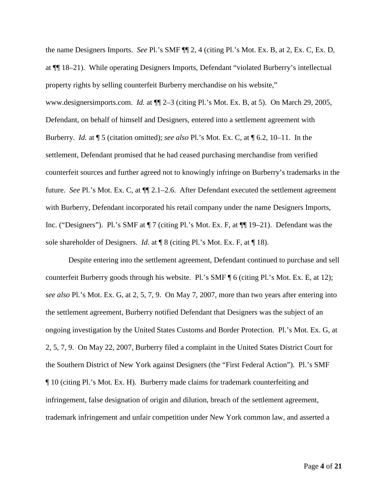the name Designers Imports. *See* Pl.'s SMF ¶¶ 2, 4 (citing Pl.'s Mot. Ex. B, at 2, Ex. C, Ex. D, at ¶¶ 18–21). While operating Designers Imports, Defendant "violated Burberry's intellectual property rights by selling counterfeit Burberry merchandise on his website," www.designersimports.com. *Id.* at ¶¶ 2–3 (citing Pl.'s Mot. Ex. B, at 5). On March 29, 2005, Defendant, on behalf of himself and Designers, entered into a settlement agreement with Burberry. *Id.* at ¶ 5 (citation omitted); *see also* Pl.'s Mot. Ex. C, at ¶ 6.2, 10–11. In the settlement, Defendant promised that he had ceased purchasing merchandise from verified counterfeit sources and further agreed not to knowingly infringe on Burberry's trademarks in the future. *See* Pl.'s Mot. Ex. C, at ¶¶ 2.1–2.6. After Defendant executed the settlement agreement with Burberry, Defendant incorporated his retail company under the name Designers Imports, Inc. ("Designers"). Pl.'s SMF at ¶ 7 (citing Pl.'s Mot. Ex. F, at ¶¶ 19–21). Defendant was the sole shareholder of Designers. *Id.* at ¶ 8 (citing Pl.'s Mot. Ex. F, at ¶ 18).

Despite entering into the settlement agreement, Defendant continued to purchase and sell counterfeit Burberry goods through his website. Pl.'s SMF ¶ 6 (citing Pl.'s Mot. Ex. E, at 12); *see also* Pl.'s Mot. Ex. G, at 2, 5, 7, 9. On May 7, 2007, more than two years after entering into the settlement agreement, Burberry notified Defendant that Designers was the subject of an ongoing investigation by the United States Customs and Border Protection. Pl.'s Mot. Ex. G, at 2, 5, 7, 9. On May 22, 2007, Burberry filed a complaint in the United States District Court for the Southern District of New York against Designers (the "First Federal Action"). Pl.'s SMF ¶ 10 (citing Pl.'s Mot. Ex. H). Burberry made claims for trademark counterfeiting and infringement, false designation of origin and dilution, breach of the settlement agreement, trademark infringement and unfair competition under New York common law, and asserted a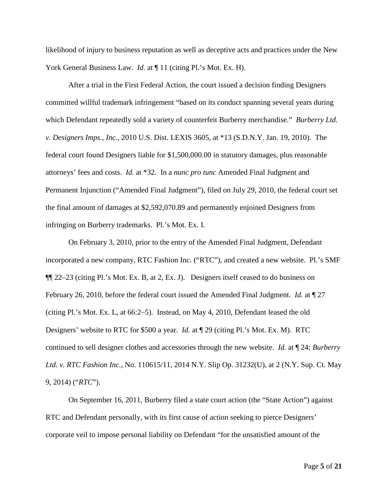likelihood of injury to business reputation as well as deceptive acts and practices under the New York General Business Law. *Id.* at  $\P$  11 (citing Pl.'s Mot. Ex. H).

After a trial in the First Federal Action, the court issued a decision finding Designers committed willful trademark infringement "based on its conduct spanning several years during which Defendant repeatedly sold a variety of counterfeit Burberry merchandise." *Burberry Ltd. v. Designers Imps., Inc.*, 2010 U.S. Dist. LEXIS 3605, at \*13 (S.D.N.Y. Jan. 19, 2010). The federal court found Designers liable for \$1,500,000.00 in statutory damages, plus reasonable attorneys' fees and costs. *Id.* at \*32. In a *nunc pro tunc* Amended Final Judgment and Permanent Injunction ("Amended Final Judgment"), filed on July 29, 2010, the federal court set the final amount of damages at \$2,592,070.89 and permanently enjoined Designers from infringing on Burberry trademarks. Pl.'s Mot. Ex. I.

On February 3, 2010, prior to the entry of the Amended Final Judgment, Defendant incorporated a new company, RTC Fashion Inc. ("RTC"), and created a new website. Pl.'s SMF ¶¶ 22–23 (citing Pl.'s Mot. Ex. B, at 2, Ex. J). Designers itself ceased to do business on February 26, 2010, before the federal court issued the Amended Final Judgment. *Id.* at ¶ 27 (citing Pl.'s Mot. Ex. L, at 66:2–5). Instead, on May 4, 2010, Defendant leased the old Designers' website to RTC for \$500 a year. *Id.* at ¶ 29 (citing Pl.'s Mot. Ex. M). RTC continued to sell designer clothes and accessories through the new website. *Id.* at ¶ 24; *Burberry Ltd. v. RTC Fashion Inc.*, No. 110615/11, 2014 N.Y. Slip Op. 31232(U), at 2 (N.Y. Sup. Ct. May 9, 2014) ("*RTC*").

On September 16, 2011, Burberry filed a state court action (the "State Action") against RTC and Defendant personally, with its first cause of action seeking to pierce Designers' corporate veil to impose personal liability on Defendant "for the unsatisfied amount of the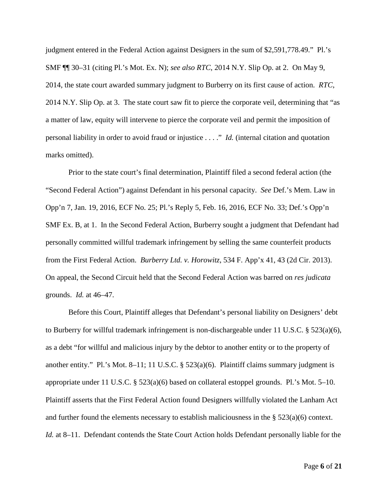judgment entered in the Federal Action against Designers in the sum of \$2,591,778.49." Pl.'s SMF ¶¶ 30–31 (citing Pl.'s Mot. Ex. N); *see also RTC*, 2014 N.Y. Slip Op. at 2. On May 9, 2014, the state court awarded summary judgment to Burberry on its first cause of action. *RTC*, 2014 N.Y. Slip Op. at 3. The state court saw fit to pierce the corporate veil, determining that "as a matter of law, equity will intervene to pierce the corporate veil and permit the imposition of personal liability in order to avoid fraud or injustice . . . ." *Id.* (internal citation and quotation marks omitted).

Prior to the state court's final determination, Plaintiff filed a second federal action (the "Second Federal Action") against Defendant in his personal capacity. *See* Def.'s Mem. Law in Opp'n 7, Jan. 19, 2016, ECF No. 25; Pl.'s Reply 5, Feb. 16, 2016, ECF No. 33; Def.'s Opp'n SMF Ex. B, at 1. In the Second Federal Action, Burberry sought a judgment that Defendant had personally committed willful trademark infringement by selling the same counterfeit products from the First Federal Action. *Burberry Ltd. v. Horowitz*, 534 F. App'x 41, 43 (2d Cir. 2013). On appeal, the Second Circuit held that the Second Federal Action was barred on *res judicata* grounds. *Id.* at 46–47.

Before this Court, Plaintiff alleges that Defendant's personal liability on Designers' debt to Burberry for willful trademark infringement is non-dischargeable under 11 U.S.C.  $\S$  523(a)(6), as a debt "for willful and malicious injury by the debtor to another entity or to the property of another entity." Pl.'s Mot. 8–11; 11 U.S.C. § 523(a)(6). Plaintiff claims summary judgment is appropriate under 11 U.S.C. § 523(a)(6) based on collateral estoppel grounds. Pl.'s Mot. 5–10. Plaintiff asserts that the First Federal Action found Designers willfully violated the Lanham Act and further found the elements necessary to establish maliciousness in the  $\S 523(a)(6)$  context. *Id.* at 8–11. Defendant contends the State Court Action holds Defendant personally liable for the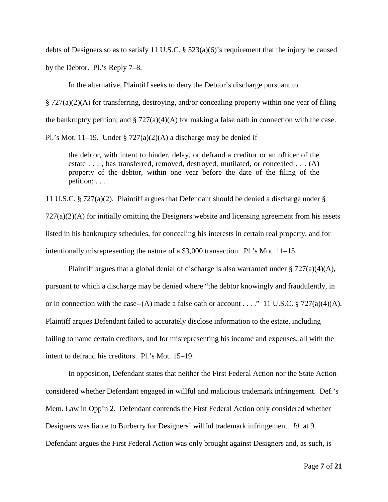debts of Designers so as to satisfy 11 U.S.C. § 523(a)(6)'s requirement that the injury be caused by the Debtor. Pl.'s Reply 7–8.

In the alternative, Plaintiff seeks to deny the Debtor's discharge pursuant to

§ 727(a)(2)(A) for transferring, destroying, and/or concealing property within one year of filing

the bankruptcy petition, and § 727(a)(4)(A) for making a false oath in connection with the case.

Pl.'s Mot. 11–19. Under §  $727(a)(2)(A)$  a discharge may be denied if

the debtor, with intent to hinder, delay, or defraud a creditor or an officer of the estate . . . , has transferred, removed, destroyed, mutilated, or concealed . . . (A) property of the debtor, within one year before the date of the filing of the petition; . . . .

11 U.S.C. § 727(a)(2). Plaintiff argues that Defendant should be denied a discharge under § 727(a)(2)(A) for initially omitting the Designers website and licensing agreement from his assets listed in his bankruptcy schedules, for concealing his interests in certain real property, and for intentionally misrepresenting the nature of a \$3,000 transaction. Pl.'s Mot. 11–15.

Plaintiff argues that a global denial of discharge is also warranted under  $\S 727(a)(4)(A)$ , pursuant to which a discharge may be denied where "the debtor knowingly and fraudulently, in or in connection with the case--(A) made a false oath or account . . . ." 11 U.S.C. § 727(a)(4)(A). Plaintiff argues Defendant failed to accurately disclose information to the estate, including failing to name certain creditors, and for misrepresenting his income and expenses, all with the intent to defraud his creditors. Pl.'s Mot. 15–19.

In opposition, Defendant states that neither the First Federal Action nor the State Action considered whether Defendant engaged in willful and malicious trademark infringement. Def.'s Mem. Law in Opp'n 2. Defendant contends the First Federal Action only considered whether Designers was liable to Burberry for Designers' willful trademark infringement. *Id.* at 9. Defendant argues the First Federal Action was only brought against Designers and, as such, is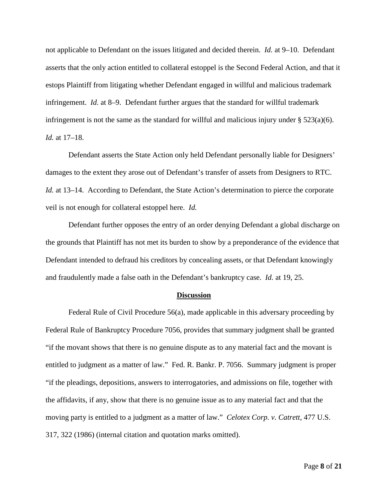not applicable to Defendant on the issues litigated and decided therein. *Id.* at 9–10. Defendant asserts that the only action entitled to collateral estoppel is the Second Federal Action, and that it estops Plaintiff from litigating whether Defendant engaged in willful and malicious trademark infringement. *Id.* at 8–9. Defendant further argues that the standard for willful trademark infringement is not the same as the standard for willful and malicious injury under  $\S 523(a)(6)$ . *Id.* at 17–18.

Defendant asserts the State Action only held Defendant personally liable for Designers' damages to the extent they arose out of Defendant's transfer of assets from Designers to RTC. *Id.* at 13–14. According to Defendant, the State Action's determination to pierce the corporate veil is not enough for collateral estoppel here. *Id.*

Defendant further opposes the entry of an order denying Defendant a global discharge on the grounds that Plaintiff has not met its burden to show by a preponderance of the evidence that Defendant intended to defraud his creditors by concealing assets, or that Defendant knowingly and fraudulently made a false oath in the Defendant's bankruptcy case. *Id.* at 19, 25.

#### **Discussion**

Federal Rule of Civil Procedure 56(a), made applicable in this adversary proceeding by Federal Rule of Bankruptcy Procedure 7056, provides that summary judgment shall be granted "if the movant shows that there is no genuine dispute as to any material fact and the movant is entitled to judgment as a matter of law." Fed. R. Bankr. P. 7056. Summary judgment is proper "if the pleadings, depositions, answers to interrogatories, and admissions on file, together with the affidavits, if any, show that there is no genuine issue as to any material fact and that the moving party is entitled to a judgment as a matter of law." *Celotex Corp. v. Catrett*, 477 U.S. 317, 322 (1986) (internal citation and quotation marks omitted).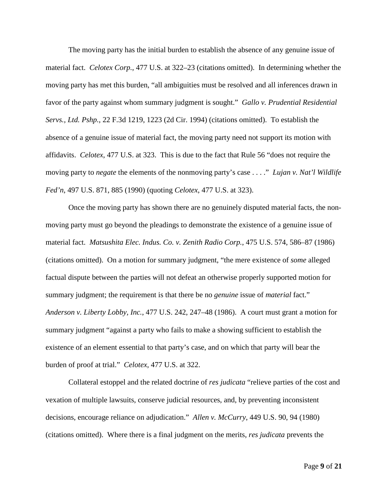The moving party has the initial burden to establish the absence of any genuine issue of material fact. *Celotex Corp.*, 477 U.S. at 322–23 (citations omitted). In determining whether the moving party has met this burden, "all ambiguities must be resolved and all inferences drawn in favor of the party against whom summary judgment is sought." *Gallo v. Prudential Residential Servs., Ltd. Pshp.*, 22 F.3d 1219, 1223 (2d Cir. 1994) (citations omitted). To establish the absence of a genuine issue of material fact, the moving party need not support its motion with affidavits. *Celotex*, 477 U.S. at 323. This is due to the fact that Rule 56 "does not require the moving party to *negate* the elements of the nonmoving party's case . . . ." *Lujan v. Nat'l Wildlife Fed'n*, 497 U.S. 871, 885 (1990) (quoting *Celotex*, 477 U.S. at 323).

Once the moving party has shown there are no genuinely disputed material facts, the nonmoving party must go beyond the pleadings to demonstrate the existence of a genuine issue of material fact. *Matsushita Elec. Indus. Co. v. Zenith Radio Corp.*, 475 U.S. 574, 586–87 (1986) (citations omitted). On a motion for summary judgment, "the mere existence of *some* alleged factual dispute between the parties will not defeat an otherwise properly supported motion for summary judgment; the requirement is that there be no *genuine* issue of *material* fact." *Anderson v. Liberty Lobby, Inc.*, 477 U.S. 242, 247–48 (1986). A court must grant a motion for summary judgment "against a party who fails to make a showing sufficient to establish the existence of an element essential to that party's case, and on which that party will bear the burden of proof at trial." *Celotex*, 477 U.S. at 322.

Collateral estoppel and the related doctrine of *res judicata* "relieve parties of the cost and vexation of multiple lawsuits, conserve judicial resources, and, by preventing inconsistent decisions, encourage reliance on adjudication." *Allen v. McCurry*, 449 U.S. 90, 94 (1980) (citations omitted). Where there is a final judgment on the merits, *res judicata* prevents the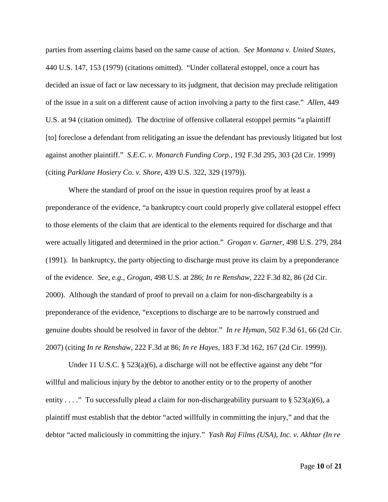parties from asserting claims based on the same cause of action. *See Montana v. United States*, 440 U.S. 147, 153 (1979) (citations omitted). "Under collateral estoppel, once a court has decided an issue of fact or law necessary to its judgment, that decision may preclude relitigation of the issue in a suit on a different cause of action involving a party to the first case." *Allen*, 449 U.S. at 94 (citation omitted). The doctrine of offensive collateral estoppel permits "a plaintiff [to] foreclose a defendant from relitigating an issue the defendant has previously litigated but lost against another plaintiff." *S.E.C. v. Monarch Funding Corp.*, 192 F.3d 295, 303 (2d Cir. 1999) (citing *Parklane Hosiery Co. v. Shore*, 439 U.S. 322, 329 (1979)).

Where the standard of proof on the issue in question requires proof by at least a preponderance of the evidence, "a bankruptcy court could properly give collateral estoppel effect to those elements of the claim that are identical to the elements required for discharge and that were actually litigated and determined in the prior action." *Grogan v. Garner*, 498 U.S. 279, 284 (1991). In bankruptcy, the party objecting to discharge must prove its claim by a preponderance of the evidence. *See, e.g.*, *Grogan*, 498 U.S. at 286; *In re Renshaw,* 222 F.3d 82, 86 (2d Cir. 2000). Although the standard of proof to prevail on a claim for non-dischargeabilty is a preponderance of the evidence, "exceptions to discharge are to be narrowly construed and genuine doubts should be resolved in favor of the debtor." *In re Hyman*, 502 F.3d 61, 66 (2d Cir. 2007) (citing *In re Renshaw*, 222 F.3d at 86; *In re Hayes*, 183 F.3d 162, 167 (2d Cir. 1999)).

Under 11 U.S.C. § 523(a)(6), a discharge will not be effective against any debt "for willful and malicious injury by the debtor to another entity or to the property of another entity . . . ." To successfully plead a claim for non-dischargeability pursuant to § 523(a)(6), a plaintiff must establish that the debtor "acted willfully in committing the injury," and that the debtor "acted maliciously in committing the injury." *Yash Raj Films (USA), Inc. v. Akhtar (In re*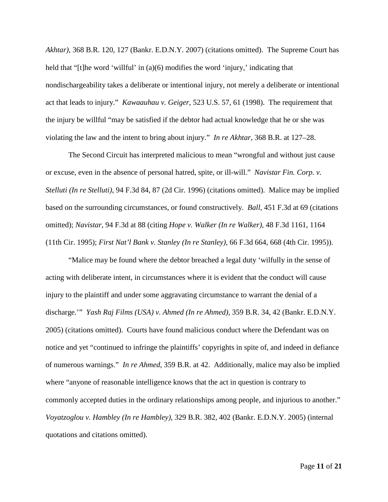*Akhtar)*, 368 B.R. 120, 127 (Bankr. E.D.N.Y. 2007) (citations omitted). The Supreme Court has held that "[t]he word 'willful' in (a)(6) modifies the word 'injury,' indicating that nondischargeability takes a deliberate or intentional injury, not merely a deliberate or intentional act that leads to injury." *Kawaauhau v. Geiger*, 523 U.S. 57, 61 (1998). The requirement that the injury be willful "may be satisfied if the debtor had actual knowledge that he or she was violating the law and the intent to bring about injury." *In re Akhtar*, 368 B.R. at 127–28.

The Second Circuit has interpreted malicious to mean "wrongful and without just cause or excuse, even in the absence of personal hatred, spite, or ill-will." *Navistar Fin. Corp. v. Stelluti (In re Stelluti)*, 94 F.3d 84, 87 (2d Cir. 1996) (citations omitted). Malice may be implied based on the surrounding circumstances, or found constructively. *Ball*, 451 F.3d at 69 (citations omitted); *Navistar*, 94 F.3d at 88 (citing *Hope v. Walker (In re Walker)*, 48 F.3d 1161, 1164 (11th Cir. 1995); *First Nat'l Bank v. Stanley (In re Stanley)*, 66 F.3d 664, 668 (4th Cir. 1995)).

"Malice may be found where the debtor breached a legal duty 'wilfully in the sense of acting with deliberate intent, in circumstances where it is evident that the conduct will cause injury to the plaintiff and under some aggravating circumstance to warrant the denial of a discharge.'" *Yash Raj Films (USA) v. Ahmed (In re Ahmed)*, 359 B.R. 34, 42 (Bankr. E.D.N.Y. 2005) (citations omitted). Courts have found malicious conduct where the Defendant was on notice and yet "continued to infringe the plaintiffs' copyrights in spite of, and indeed in defiance of numerous warnings." *In re Ahmed*, 359 B.R. at 42. Additionally, malice may also be implied where "anyone of reasonable intelligence knows that the act in question is contrary to commonly accepted duties in the ordinary relationships among people, and injurious to another." *Voyatzoglou v. Hambley (In re Hambley)*, 329 B.R. 382, 402 (Bankr. E.D.N.Y. 2005) (internal quotations and citations omitted).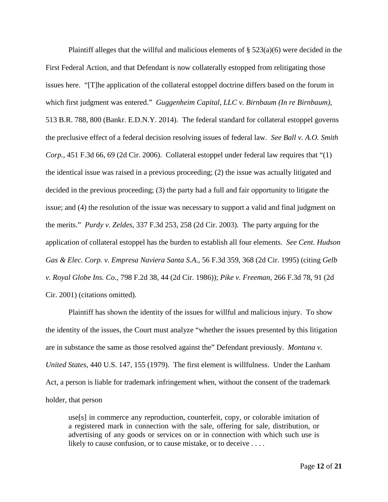Plaintiff alleges that the willful and malicious elements of  $\S 523(a)(6)$  were decided in the First Federal Action, and that Defendant is now collaterally estopped from relitigating those issues here. "[T]he application of the collateral estoppel doctrine differs based on the forum in which first judgment was entered." *Guggenheim Capital, LLC v. Birnbaum (In re Birnbaum)*, 513 B.R. 788, 800 (Bankr. E.D.N.Y. 2014). The federal standard for collateral estoppel governs the preclusive effect of a federal decision resolving issues of federal law. *See Ball v. A.O. Smith Corp.*, 451 F.3d 66, 69 (2d Cir. 2006). Collateral estoppel under federal law requires that "(1) the identical issue was raised in a previous proceeding; (2) the issue was actually litigated and decided in the previous proceeding; (3) the party had a full and fair opportunity to litigate the issue; and (4) the resolution of the issue was necessary to support a valid and final judgment on the merits." *Purdy v. Zeldes*, 337 F.3d 253, 258 (2d Cir. 2003). The party arguing for the application of collateral estoppel has the burden to establish all four elements. *See Cent. Hudson Gas & Elec. Corp. v. Empresa Naviera Santa S.A.*, 56 F.3d 359, 368 (2d Cir. 1995) (citing *Gelb v. Royal Globe Ins. Co.*, 798 F.2d 38, 44 (2d Cir. 1986)); *Pike v. Freeman*, 266 F.3d 78, 91 (2d Cir. 2001) (citations omitted).

Plaintiff has shown the identity of the issues for willful and malicious injury. To show the identity of the issues, the Court must analyze "whether the issues presented by this litigation are in substance the same as those resolved against the" Defendant previously. *Montana v. United States*, 440 U.S. 147, 155 (1979). The first element is willfulness. Under the Lanham Act, a person is liable for trademark infringement when, without the consent of the trademark holder, that person

use[s] in commerce any reproduction, counterfeit, copy, or colorable imitation of a registered mark in connection with the sale, offering for sale, distribution, or advertising of any goods or services on or in connection with which such use is likely to cause confusion, or to cause mistake, or to deceive . . . .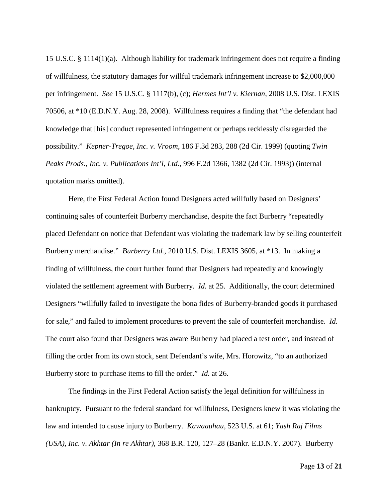15 U.S.C. § 1114(1)(a). Although liability for trademark infringement does not require a finding of willfulness, the statutory damages for willful trademark infringement increase to \$2,000,000 per infringement. *See* 15 U.S.C. § 1117(b), (c); *Hermes Int'l v. Kiernan*, 2008 U.S. Dist. LEXIS 70506, at \*10 (E.D.N.Y. Aug. 28, 2008). Willfulness requires a finding that "the defendant had knowledge that [his] conduct represented infringement or perhaps recklessly disregarded the possibility." *Kepner-Tregoe, Inc. v. Vroom*, 186 F.3d 283, 288 (2d Cir. 1999) (quoting *Twin Peaks Prods., Inc. v. Publications Int'l, Ltd.*, 996 F.2d 1366, 1382 (2d Cir. 1993)) (internal quotation marks omitted).

Here, the First Federal Action found Designers acted willfully based on Designers' continuing sales of counterfeit Burberry merchandise, despite the fact Burberry "repeatedly placed Defendant on notice that Defendant was violating the trademark law by selling counterfeit Burberry merchandise." *Burberry Ltd.*, 2010 U.S. Dist. LEXIS 3605, at \*13. In making a finding of willfulness, the court further found that Designers had repeatedly and knowingly violated the settlement agreement with Burberry. *Id.* at 25. Additionally, the court determined Designers "willfully failed to investigate the bona fides of Burberry-branded goods it purchased for sale," and failed to implement procedures to prevent the sale of counterfeit merchandise. *Id.* The court also found that Designers was aware Burberry had placed a test order, and instead of filling the order from its own stock, sent Defendant's wife, Mrs. Horowitz, "to an authorized Burberry store to purchase items to fill the order." *Id.* at 26.

The findings in the First Federal Action satisfy the legal definition for willfulness in bankruptcy. Pursuant to the federal standard for willfulness, Designers knew it was violating the law and intended to cause injury to Burberry. *Kawaauhau*, 523 U.S. at 61; *Yash Raj Films (USA), Inc. v. Akhtar (In re Akhtar)*, 368 B.R. 120, 127–28 (Bankr. E.D.N.Y. 2007). Burberry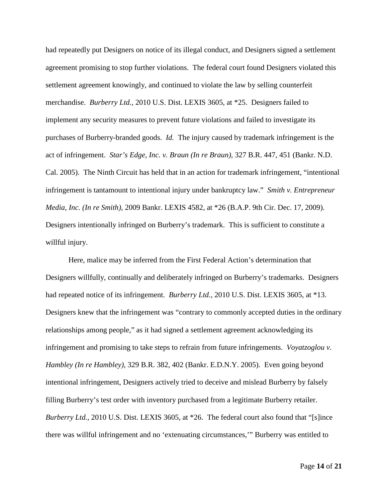had repeatedly put Designers on notice of its illegal conduct, and Designers signed a settlement agreement promising to stop further violations. The federal court found Designers violated this settlement agreement knowingly, and continued to violate the law by selling counterfeit merchandise. *Burberry Ltd.*, 2010 U.S. Dist. LEXIS 3605, at \*25. Designers failed to implement any security measures to prevent future violations and failed to investigate its purchases of Burberry-branded goods. *Id.* The injury caused by trademark infringement is the act of infringement. *Star's Edge, Inc. v. Braun (In re Braun)*, 327 B.R. 447, 451 (Bankr. N.D. Cal. 2005). The Ninth Circuit has held that in an action for trademark infringement, "intentional infringement is tantamount to intentional injury under bankruptcy law." *Smith v. Entrepreneur Media, Inc. (In re Smith)*, 2009 Bankr. LEXIS 4582, at \*26 (B.A.P. 9th Cir. Dec. 17, 2009). Designers intentionally infringed on Burberry's trademark. This is sufficient to constitute a willful injury.

Here, malice may be inferred from the First Federal Action's determination that Designers willfully, continually and deliberately infringed on Burberry's trademarks. Designers had repeated notice of its infringement. *Burberry Ltd.*, 2010 U.S. Dist. LEXIS 3605, at \*13. Designers knew that the infringement was "contrary to commonly accepted duties in the ordinary relationships among people," as it had signed a settlement agreement acknowledging its infringement and promising to take steps to refrain from future infringements. *Voyatzoglou v. Hambley (In re Hambley)*, 329 B.R. 382, 402 (Bankr. E.D.N.Y. 2005). Even going beyond intentional infringement, Designers actively tried to deceive and mislead Burberry by falsely filling Burberry's test order with inventory purchased from a legitimate Burberry retailer. *Burberry Ltd.*, 2010 U.S. Dist. LEXIS 3605, at \*26. The federal court also found that "[s]ince there was willful infringement and no 'extenuating circumstances,'" Burberry was entitled to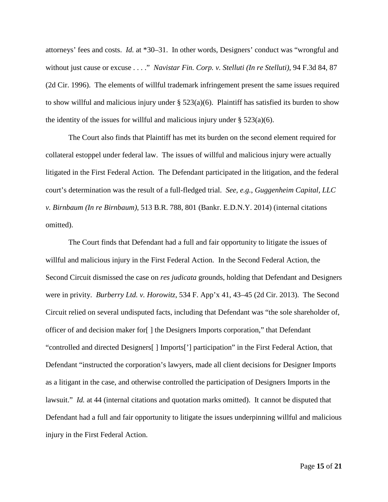attorneys' fees and costs. *Id.* at \*30–31. In other words, Designers' conduct was "wrongful and without just cause or excuse . . . ." *Navistar Fin. Corp. v. Stelluti (In re Stelluti)*, 94 F.3d 84, 87 (2d Cir. 1996). The elements of willful trademark infringement present the same issues required to show willful and malicious injury under  $\S 523(a)(6)$ . Plaintiff has satisfied its burden to show the identity of the issues for willful and malicious injury under  $\S 523(a)(6)$ .

The Court also finds that Plaintiff has met its burden on the second element required for collateral estoppel under federal law. The issues of willful and malicious injury were actually litigated in the First Federal Action. The Defendant participated in the litigation, and the federal court's determination was the result of a full-fledged trial. *See, e.g.*, *Guggenheim Capital, LLC v. Birnbaum (In re Birnbaum)*, 513 B.R. 788, 801 (Bankr. E.D.N.Y. 2014) (internal citations omitted).

The Court finds that Defendant had a full and fair opportunity to litigate the issues of willful and malicious injury in the First Federal Action. In the Second Federal Action, the Second Circuit dismissed the case on *res judicata* grounds, holding that Defendant and Designers were in privity. *Burberry Ltd. v. Horowitz*, 534 F. App'x 41, 43–45 (2d Cir. 2013). The Second Circuit relied on several undisputed facts, including that Defendant was "the sole shareholder of, officer of and decision maker for[ ] the Designers Imports corporation," that Defendant "controlled and directed Designers[ ] Imports['] participation" in the First Federal Action, that Defendant "instructed the corporation's lawyers, made all client decisions for Designer Imports as a litigant in the case, and otherwise controlled the participation of Designers Imports in the lawsuit." *Id.* at 44 (internal citations and quotation marks omitted). It cannot be disputed that Defendant had a full and fair opportunity to litigate the issues underpinning willful and malicious injury in the First Federal Action.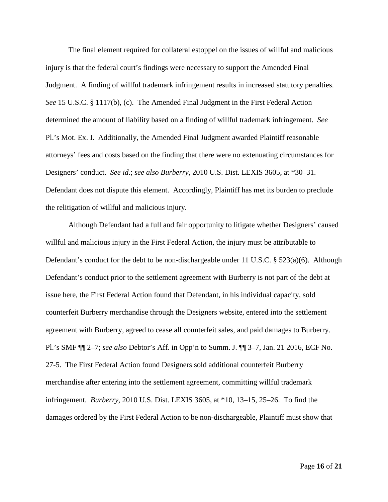The final element required for collateral estoppel on the issues of willful and malicious injury is that the federal court's findings were necessary to support the Amended Final Judgment. A finding of willful trademark infringement results in increased statutory penalties. *See* 15 U.S.C. § 1117(b), (c). The Amended Final Judgment in the First Federal Action determined the amount of liability based on a finding of willful trademark infringement. *See* Pl.'s Mot. Ex. I. Additionally, the Amended Final Judgment awarded Plaintiff reasonable attorneys' fees and costs based on the finding that there were no extenuating circumstances for Designers' conduct. *See id.*; *see also Burberry*, 2010 U.S. Dist. LEXIS 3605, at \*30–31. Defendant does not dispute this element. Accordingly, Plaintiff has met its burden to preclude the relitigation of willful and malicious injury.

Although Defendant had a full and fair opportunity to litigate whether Designers' caused willful and malicious injury in the First Federal Action, the injury must be attributable to Defendant's conduct for the debt to be non-dischargeable under 11 U.S.C. § 523(a)(6). Although Defendant's conduct prior to the settlement agreement with Burberry is not part of the debt at issue here, the First Federal Action found that Defendant, in his individual capacity, sold counterfeit Burberry merchandise through the Designers website, entered into the settlement agreement with Burberry, agreed to cease all counterfeit sales, and paid damages to Burberry. Pl.'s SMF ¶¶ 2–7; *see also* Debtor's Aff. in Opp'n to Summ. J. ¶¶ 3–7, Jan. 21 2016, ECF No. 27-5. The First Federal Action found Designers sold additional counterfeit Burberry merchandise after entering into the settlement agreement, committing willful trademark infringement. *Burberry*, 2010 U.S. Dist. LEXIS 3605, at \*10, 13–15, 25–26. To find the damages ordered by the First Federal Action to be non-dischargeable, Plaintiff must show that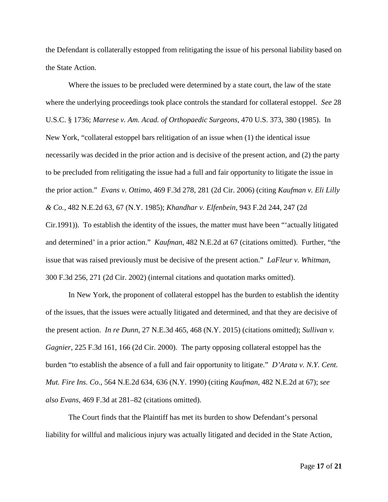the Defendant is collaterally estopped from relitigating the issue of his personal liability based on the State Action.

Where the issues to be precluded were determined by a state court, the law of the state where the underlying proceedings took place controls the standard for collateral estoppel. *See* 28 U.S.C. § 1736; *Marrese v. Am. Acad. of Orthopaedic Surgeons*, 470 U.S. 373, 380 (1985). In New York, "collateral estoppel bars relitigation of an issue when (1) the identical issue necessarily was decided in the prior action and is decisive of the present action, and (2) the party to be precluded from relitigating the issue had a full and fair opportunity to litigate the issue in the prior action." *Evans v. Ottimo*, 469 F.3d 278, 281 (2d Cir. 2006) (citing *Kaufman v. Eli Lilly & Co.*, 482 N.E.2d 63, 67 (N.Y. 1985); *Khandhar v. Elfenbein*, 943 F.2d 244, 247 (2d Cir.1991)). To establish the identity of the issues, the matter must have been "'actually litigated and determined' in a prior action." *Kaufman*, 482 N.E.2d at 67 (citations omitted). Further, "the issue that was raised previously must be decisive of the present action." *LaFleur v. Whitman*, 300 F.3d 256, 271 (2d Cir. 2002) (internal citations and quotation marks omitted).

In New York, the proponent of collateral estoppel has the burden to establish the identity of the issues, that the issues were actually litigated and determined, and that they are decisive of the present action. *In re Dunn*, 27 N.E.3d 465, 468 (N.Y. 2015) (citations omitted); *Sullivan v. Gagnier*, 225 F.3d 161, 166 (2d Cir. 2000). The party opposing collateral estoppel has the burden "to establish the absence of a full and fair opportunity to litigate." *D'Arata v. N.Y. Cent. Mut. Fire Ins. Co.*, 564 N.E.2d 634, 636 (N.Y. 1990) (citing *Kaufman*, 482 N.E.2d at 67); *see also Evans*, 469 F.3d at 281–82 (citations omitted).

The Court finds that the Plaintiff has met its burden to show Defendant's personal liability for willful and malicious injury was actually litigated and decided in the State Action,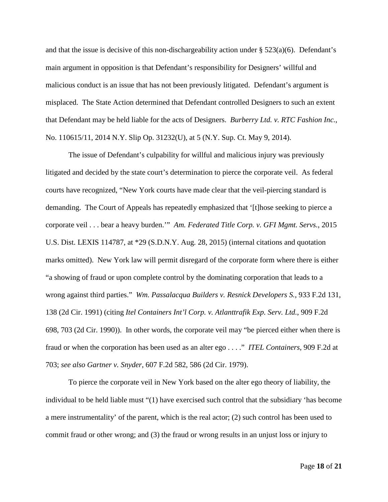and that the issue is decisive of this non-dischargeability action under § 523(a)(6). Defendant's main argument in opposition is that Defendant's responsibility for Designers' willful and malicious conduct is an issue that has not been previously litigated. Defendant's argument is misplaced. The State Action determined that Defendant controlled Designers to such an extent that Defendant may be held liable for the acts of Designers. *Burberry Ltd. v. RTC Fashion Inc.*, No. 110615/11, 2014 N.Y. Slip Op. 31232(U), at 5 (N.Y. Sup. Ct. May 9, 2014).

The issue of Defendant's culpability for willful and malicious injury was previously litigated and decided by the state court's determination to pierce the corporate veil. As federal courts have recognized, "New York courts have made clear that the veil-piercing standard is demanding. The Court of Appeals has repeatedly emphasized that '[t]hose seeking to pierce a corporate veil . . . bear a heavy burden.'" *Am. Federated Title Corp. v. GFI Mgmt. Servs.*, 2015 U.S. Dist. LEXIS 114787, at \*29 (S.D.N.Y. Aug. 28, 2015) (internal citations and quotation marks omitted). New York law will permit disregard of the corporate form where there is either "a showing of fraud or upon complete control by the dominating corporation that leads to a wrong against third parties." *Wm. Passalacqua Builders v. Resnick Developers S.*, 933 F.2d 131, 138 (2d Cir. 1991) (citing *Itel Containers Int'l Corp. v. Atlanttrafik Exp. Serv. Ltd.*, 909 F.2d 698, 703 (2d Cir. 1990)). In other words, the corporate veil may "be pierced either when there is fraud or when the corporation has been used as an alter ego . . . ." *ITEL Containers*, 909 F.2d at 703; *see also Gartner v. Snyder*, 607 F.2d 582, 586 (2d Cir. 1979).

To pierce the corporate veil in New York based on the alter ego theory of liability, the individual to be held liable must "(1) have exercised such control that the subsidiary 'has become a mere instrumentality' of the parent, which is the real actor; (2) such control has been used to commit fraud or other wrong; and (3) the fraud or wrong results in an unjust loss or injury to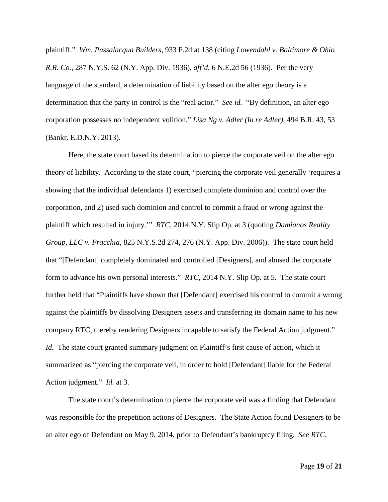plaintiff." *Wm. Passalacqua Builders*, 933 F.2d at 138 (citing *Lowendahl v. Baltimore & Ohio R.R. Co.*, 287 N.Y.S. 62 (N.Y. App. Div. 1936), *aff'd*, 6 N.E.2d 56 (1936). Per the very language of the standard, a determination of liability based on the alter ego theory is a determination that the party in control is the "real actor." *See id.* "By definition, an alter ego corporation possesses no independent volition." *Lisa Ng v. Adler (In re Adler)*, 494 B.R. 43, 53 (Bankr. E.D.N.Y. 2013).

Here, the state court based its determination to pierce the corporate veil on the alter ego theory of liability. According to the state court, "piercing the corporate veil generally 'requires a showing that the individual defendants 1) exercised complete dominion and control over the corporation, and 2) used such dominion and control to commit a fraud or wrong against the plaintiff which resulted in injury.'" *RTC*, 2014 N.Y. Slip Op. at 3 (quoting *Damianos Reality Group, LLC v. Fracchia,* 825 N.Y.S.2d 274, 276 (N.Y. App. Div. 2006)). The state court held that "[Defendant] completely dominated and controlled [Designers], and abused the corporate form to advance his own personal interests." *RTC*, 2014 N.Y. Slip Op. at 5. The state court further held that "Plaintiffs have shown that [Defendant] exercised his control to commit a wrong against the plaintiffs by dissolving Designers assets and transferring its domain name to his new company RTC, thereby rendering Designers incapable to satisfy the Federal Action judgment." *Id.* The state court granted summary judgment on Plaintiff's first cause of action, which it summarized as "piercing the corporate veil, in order to hold [Defendant] liable for the Federal Action judgment." *Id.* at 3.

The state court's determination to pierce the corporate veil was a finding that Defendant was responsible for the prepetition actions of Designers. The State Action found Designers to be an alter ego of Defendant on May 9, 2014, prior to Defendant's bankruptcy filing. *See RTC*,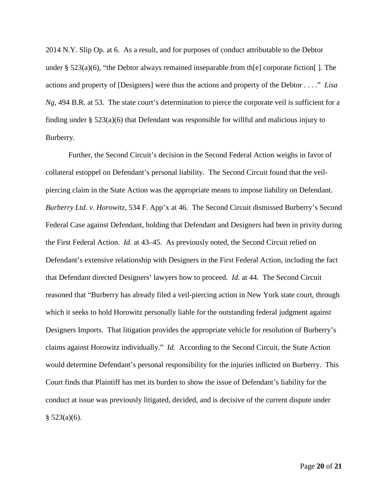2014 N.Y. Slip Op. at 6. As a result, and for purposes of conduct attributable to the Debtor under §  $523(a)(6)$ , "the Debtor always remained inseparable from th[e] corporate fiction[]. The actions and property of [Designers] were thus the actions and property of the Debtor . . . ." *Lisa Ng*, 494 B.R. at 53. The state court's determination to pierce the corporate veil is sufficient for a finding under § 523(a)(6) that Defendant was responsible for willful and malicious injury to Burberry.

Further, the Second Circuit's decision in the Second Federal Action weighs in favor of collateral estoppel on Defendant's personal liability. The Second Circuit found that the veilpiercing claim in the State Action was the appropriate means to impose liability on Defendant. *Burberry Ltd. v. Horowitz*, 534 F. App'x at 46. The Second Circuit dismissed Burberry's Second Federal Case against Defendant, holding that Defendant and Designers had been in privity during the First Federal Action. *Id.* at 43–45. As previously noted, the Second Circuit relied on Defendant's extensive relationship with Designers in the First Federal Action, including the fact that Defendant directed Designers' lawyers how to proceed. *Id.* at 44. The Second Circuit reasoned that "Burberry has already filed a veil-piercing action in New York state court, through which it seeks to hold Horowitz personally liable for the outstanding federal judgment against Designers Imports. That litigation provides the appropriate vehicle for resolution of Burberry's claims against Horowitz individually." *Id.* According to the Second Circuit, the State Action would determine Defendant's personal responsibility for the injuries inflicted on Burberry. This Court finds that Plaintiff has met its burden to show the issue of Defendant's liability for the conduct at issue was previously litigated, decided, and is decisive of the current dispute under  $§$  523(a)(6).